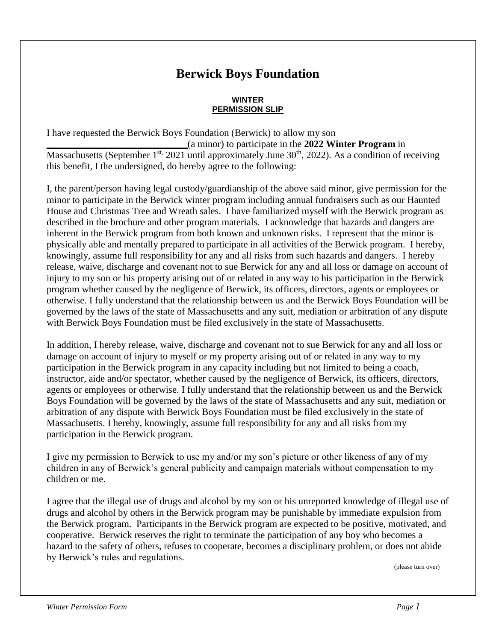## **Berwick Boys Foundation**

## **WINTER PERMISSION SLIP**

I have requested the Berwick Boys Foundation (Berwick) to allow my son **\_\_\_\_\_\_\_\_\_\_\_\_\_\_\_\_\_\_\_\_\_\_\_\_\_\_\_\_\_**(a minor) to participate in the **2022 Winter Program** in Massachusetts (September 1<sup>st,</sup> 2021 until approximately June  $30<sup>th</sup>$ , 2022). As a condition of receiving this benefit, I the undersigned, do hereby agree to the following:

I, the parent/person having legal custody/guardianship of the above said minor, give permission for the minor to participate in the Berwick winter program including annual fundraisers such as our Haunted House and Christmas Tree and Wreath sales. I have familiarized myself with the Berwick program as described in the brochure and other program materials. I acknowledge that hazards and dangers are inherent in the Berwick program from both known and unknown risks. I represent that the minor is physically able and mentally prepared to participate in all activities of the Berwick program. I hereby, knowingly, assume full responsibility for any and all risks from such hazards and dangers. I hereby release, waive, discharge and covenant not to sue Berwick for any and all loss or damage on account of injury to my son or his property arising out of or related in any way to his participation in the Berwick program whether caused by the negligence of Berwick, its officers, directors, agents or employees or otherwise. I fully understand that the relationship between us and the Berwick Boys Foundation will be governed by the laws of the state of Massachusetts and any suit, mediation or arbitration of any dispute with Berwick Boys Foundation must be filed exclusively in the state of Massachusetts.

In addition, I hereby release, waive, discharge and covenant not to sue Berwick for any and all loss or damage on account of injury to myself or my property arising out of or related in any way to my participation in the Berwick program in any capacity including but not limited to being a coach, instructor, aide and/or spectator, whether caused by the negligence of Berwick, its officers, directors, agents or employees or otherwise. I fully understand that the relationship between us and the Berwick Boys Foundation will be governed by the laws of the state of Massachusetts and any suit, mediation or arbitration of any dispute with Berwick Boys Foundation must be filed exclusively in the state of Massachusetts. I hereby, knowingly, assume full responsibility for any and all risks from my participation in the Berwick program.

I give my permission to Berwick to use my and/or my son's picture or other likeness of any of my children in any of Berwick's general publicity and campaign materials without compensation to my children or me.

I agree that the illegal use of drugs and alcohol by my son or his unreported knowledge of illegal use of drugs and alcohol by others in the Berwick program may be punishable by immediate expulsion from the Berwick program. Participants in the Berwick program are expected to be positive, motivated, and cooperative. Berwick reserves the right to terminate the participation of any boy who becomes a hazard to the safety of others, refuses to cooperate, becomes a disciplinary problem, or does not abide by Berwick's rules and regulations.

(please turn over)